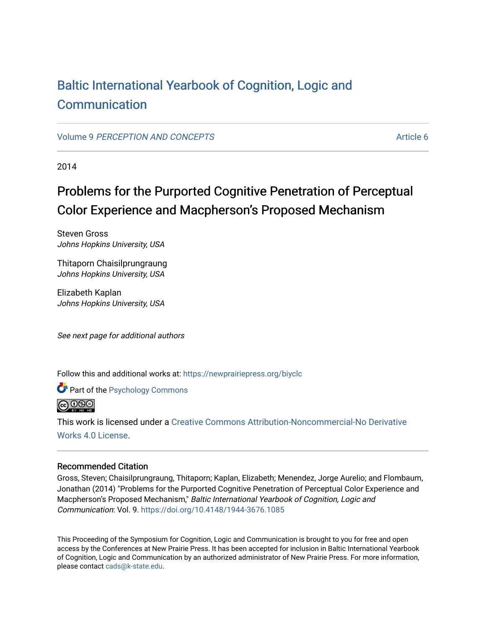## [Baltic International Yearbook of Cognition, Logic and](https://newprairiepress.org/biyclc)  [Communication](https://newprairiepress.org/biyclc)

Volume 9 [PERCEPTION AND CONCEPTS](https://newprairiepress.org/biyclc/vol9) Article 6

2014

# Problems for the Purported Cognitive Penetration of Perceptual Color Experience and Macpherson's Proposed Mechanism

Steven Gross Johns Hopkins University, USA

Thitaporn Chaisilprungraung Johns Hopkins University, USA

Elizabeth Kaplan Johns Hopkins University, USA

See next page for additional authors

Follow this and additional works at: [https://newprairiepress.org/biyclc](https://newprairiepress.org/biyclc?utm_source=newprairiepress.org%2Fbiyclc%2Fvol9%2Fiss1%2F6&utm_medium=PDF&utm_campaign=PDFCoverPages) 

**Part of the Psychology Commons** 



This work is licensed under a [Creative Commons Attribution-Noncommercial-No Derivative](https://creativecommons.org/licenses/by-nc-nd/4.0/)  [Works 4.0 License](https://creativecommons.org/licenses/by-nc-nd/4.0/).

## Recommended Citation

Gross, Steven; Chaisilprungraung, Thitaporn; Kaplan, Elizabeth; Menendez, Jorge Aurelio; and Flombaum, Jonathan (2014) "Problems for the Purported Cognitive Penetration of Perceptual Color Experience and Macpherson's Proposed Mechanism," Baltic International Yearbook of Cognition, Logic and Communication: Vol. 9. <https://doi.org/10.4148/1944-3676.1085>

This Proceeding of the Symposium for Cognition, Logic and Communication is brought to you for free and open access by the Conferences at New Prairie Press. It has been accepted for inclusion in Baltic International Yearbook of Cognition, Logic and Communication by an authorized administrator of New Prairie Press. For more information, please contact [cads@k-state.edu.](mailto:cads@k-state.edu)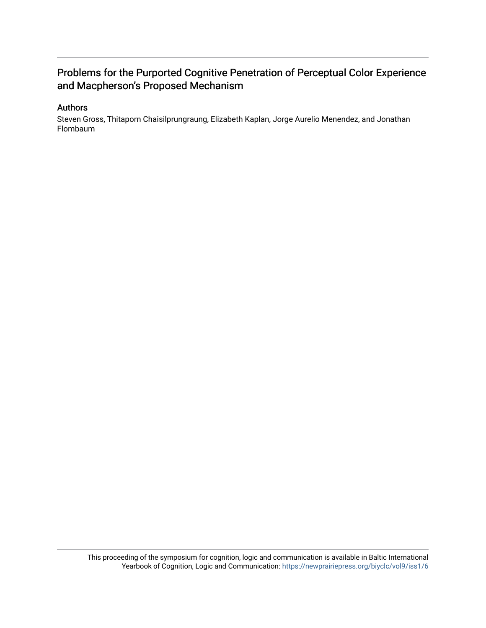## Problems for the Purported Cognitive Penetration of Perceptual Color Experience and Macpherson's Proposed Mechanism

## Authors

Steven Gross, Thitaporn Chaisilprungraung, Elizabeth Kaplan, Jorge Aurelio Menendez, and Jonathan Flombaum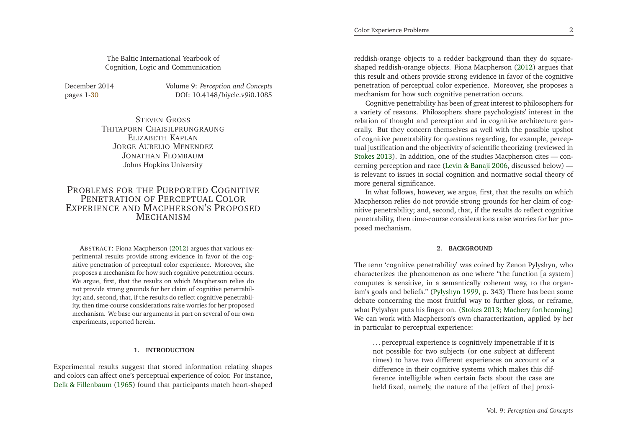The Baltic International Yearbook ofCognition, Logic and Communication

December 2014 pages 1[-30](#page-16-0)

 *Perception and Concepts*DOI: 10.4148/biyclc.v9i0.1085

STEVEN <sup>G</sup>ROSS THITAPORN CHAISILPRUNGRAUNG ELIZABETH KAPLAN<br>20 Augustus Munici JORGE <sup>A</sup>URELIO <sup>M</sup>ENENDEZ JONATHAN <sup>F</sup>LOMBAUMJohns Hopkins University

## PROBLEMS FOR THE PURPORTED COGNITIVE<br>PENETRATION OF PERCEPTILL COLOR PENETRATION OF PERCEPTUAL COLOR EXPERIENCE AND MACPHERSON'S PROPOSED MECHANISM

ABSTRACT: Fiona Macpherson [\(2012\)](#page-16-1) argues that various experimental results provide strong evidence in favor of the cognitive penetration of perceptual color experience. Moreover, she proposes <sup>a</sup> mechanism for how such cognitive penetration occurs. We argue, first, that the results on which Macpherson relies do not provide strong grounds for her claim of cognitive penetrability; and, second, that, if the results do reflect cognitive penetrability, then time-course considerations raise worries for her proposed mechanism. We base our arguments in par<sup>t</sup> on several of our ownexperiments, reported herein.

## **1. INTRODUCTION**

Experimental results sugges<sup>t</sup> that stored information relating shapes and colors can affect one's perceptual experience of color. For instance, Delk & [Fillenbaum](#page-16-2) [\(1965\)](#page-16-2) found that participants match heart-shaped

reddish-orange objects to <sup>a</sup> redder background than they do squareshaped reddish-orange objects. Fiona Macpherson [\(2012](#page-16-1)) argues that this result and others provide strong evidence in favor of the cognitive penetration of perceptual color experience. Moreover, she proposes <sup>a</sup>mechanism for how such cognitive penetration occurs.

Cognitive penetrability has been of grea<sup>t</sup> interest to <sup>p</sup>hilosophers for <sup>a</sup> variety of reasons. Philosophers share psychologists' interest in the relation of thought and perception and in cognitive architecture generally. But they concern themselves as well with the possible upshot of cognitive penetrability for questions regarding, for example, perceptual justification and the objectivity of scientific theorizing (reviewed in [Stokes](#page-16-3) [2013](#page-16-3)). In addition, one of the studies Macpherson cites — concerning perception and race (Levin & [Banaji](#page-16-4) [2006,](#page-16-4) discussed below) is relevant to issues in social cognition and normative social theory ofmore general significance.

In what follows, however, we argue, first, that the results on which Macpherson relies do not provide strong grounds for her claim of cognitive penetrability; and, second, that, if the results *do* reflect cognitive penetrability, then time-course considerations raise worries for her proposed mechanism.

### **2. BACKGROUND**

The term 'cognitive penetrability' was coined by Zenon Pylyshyn, who characterizes the <sup>p</sup>henomenon as one where "the function [<sup>a</sup> system] computes is sensitive, in <sup>a</sup> semantically coherent way, to the organism's goals and beliefs." [\(Pylyshyn](#page-16-5) [1999,](#page-16-5) p. 343) There has been some debate concerning the most fruitful way to further <sup>g</sup>loss, or reframe, what Pylyshyn puts his finger on. [\(Stokes](#page-16-3) [2013](#page-16-3); [Machery](#page-16-6) [forthcoming\)](#page-16-6) We can work with Macpherson's own characterization, applied by herin particular to perceptual experience:

... perceptual experience is cognitively impenetrable if it is not possible for two subjects (or one subject at differenttimes) to have two different experiences on account of <sup>a</sup> difference in their cognitive systems which makes this difference intelligible when certain facts about the case areheld fixed, namely, the nature of the [effect of the] proxi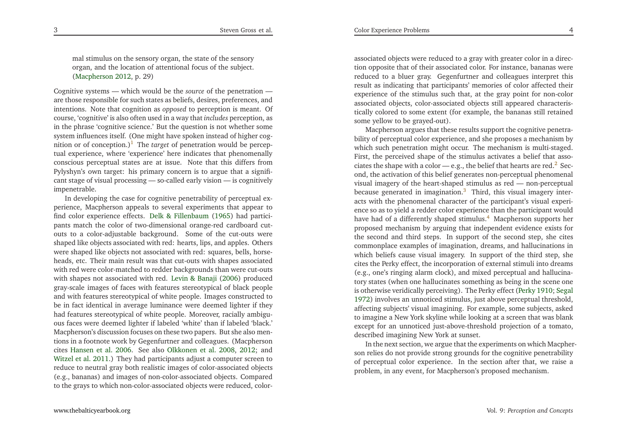mal stimulus on the sensory organ, the state of the sensory organ, and the location of attentional focus of the subject. [\(Macpherson](#page-16-1) [2012,](#page-16-1) p. 29)

Cognitive systems — which would be the *source* of the penetration are those responsible for such states as beliefs, desires, preferences, and intentions. Note that cognition as *opposed* to perception is meant. Of course, 'cognitive' is also often used in <sup>a</sup> way that *includes* perception, as in the <sup>p</sup>hrase 'cognitive science.' But the question is not whether some system influences itself. (One might have spoken instead of higher cog-nition or of conception.)<sup>[1](#page-15-0)</sup> The *target* of penetration would be percep tual experience, where 'experience' here indicates that <sup>p</sup>henomenally conscious perceptual states are at issue. Note that this differs from Pylyshyn's own target: his primary concern is to argue that <sup>a</sup> significant stage of visual processing — so-called early vision — is cognitivelyimpenetrable.

 In developing the case for cognitive penetrability of perceptual experience, Macpherson appeals to several experiments that appear to find color experience effects. Delk & [Fillenbaum](#page-16-2) [\(1965](#page-16-2)) had participants match the color of two-dimensional orange-red cardboard cutouts to <sup>a</sup> color-adjustable background. Some of the cut-outs were shaped like objects associated with red: hearts, lips, and apples. Others were shaped like objects not associated with red: squares, bells, horseheads, etc. Their main result was that cut-outs with shapes associated with red were color-matched to redder backgrounds than were cut-outs with shapes not associated with red. Levin & [Banaji](#page-16-4) [\(2006](#page-16-4)) produced gray-scale images of faces with features stereotypical of black people and with features stereotypical of white people. Images constructed to be in fact identical in average luminance were deemed lighter if they had features stereotypical of white people. Moreover, racially ambiguous faces were deemed lighter if labeled 'white' than if labeled 'black.' Macpherson's discussion focuses on these two papers. But she also mentions in <sup>a</sup> footnote work by Gegenfurtner and colleagues. (Macpherson cites [Hansen](#page-16-7) et al. [2006](#page-16-7). See also [Olkkonen](#page-16-8) et al. [2008](#page-16-8), [2012](#page-16-9); and [Witzel](#page-16-10) et al. [2011](#page-16-10).) They had participants adjust <sup>a</sup> computer screen to reduce to neutral gray both realistic images of color-associated objects (e.g., bananas) and images of non-color-associated objects. Comparedto the grays to which non-color-associated objects were reduced, color-

associated objects were reduced to <sup>a</sup> gray with greater color in <sup>a</sup> direction opposite that of their associated color. For instance, bananas were reduced to <sup>a</sup> bluer gray. Gegenfurtner and colleagues interpret this result as indicating that participants' memories of color affected their experience of the stimulus such that, at the gray point for non-color associated objects, color-associated objects still appeared characteristically colored to some extent (for example, the bananas still retainedsome yellow to be grayed-out).

<span id="page-3-3"></span><span id="page-3-2"></span><span id="page-3-0"></span>Macpherson argues that these results suppor<sup>t</sup> the cognitive penetrability of perceptual color experience, and she proposes <sup>a</sup> mechanism by which such penetration might occur. The mechanism is multi-staged. First, the perceived shape of the stimulus activates <sup>a</sup> belief that associates the shape with a color — e.g., the belief that hearts are red. $^2\,$  $^2\,$  $^2\,$  Second, the activation of this belief generates non-perceptual <sup>p</sup>henomenal visual imagery of the heart-shaped stimulus as red — non-perceptualbecause generated in imagination.<sup>[3](#page-15-2)</sup> Third, this visual imagery interacts with the <sup>p</sup>henomenal character of the participant's visual experience so as to <sup>y</sup>ield <sup>a</sup> redder color experience than the participant would have had of <sup>a</sup> differently shaped stimulus. [4](#page-15-3) Macpherson supports her proposed mechanism by arguing that independent evidence exists for the second and third steps. In suppor<sup>t</sup> of the second step, she cites commonplace examples of imagination, dreams, and hallucinations in which beliefs cause visual imagery. In suppor<sup>t</sup> of the third step, she cites the Perky effect, the incorporation of external stimuli into dreams (e.g., one's ringing alarm clock), and mixed perceptual and hallucinatory states (when one hallucinates something as being in the scene one is otherwise veridically perceiving). The Perky effect [\(Perky](#page-16-11) [1910](#page-16-11); [Segal](#page-16-12) [1972](#page-16-12)) involves an unnoticed stimulus, just above perceptual threshold, affecting subjects' visual imagining. For example, some subjects, asked to imagine <sup>a</sup> New York skyline while looking at <sup>a</sup> screen that was blank excep<sup>t</sup> for an unnoticed just-above-threshold projection of <sup>a</sup> tomato, described imagining New York at sunset.

<span id="page-3-1"></span>In the next section, we argue that the experiments on which Macpherson relies do not provide strong grounds for the cognitive penetrability of perceptual color experience. In the section after that, we raise <sup>a</sup>problem, in any event, for Macpherson's proposed mechanism.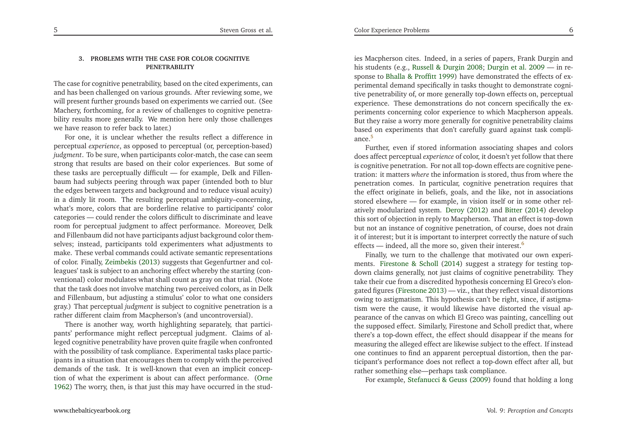5

## **3. PROBLEMS WITH THE CASE FOR COLOR COGNITIVEPENETRABILITY**

The case for cognitive penetrability, based on the cited experiments, can and has been challenged on various grounds. After reviewing some, we will presen<sup>t</sup> further grounds based on experiments we carried out. (See Machery, forthcoming, for <sup>a</sup> review of challenges to cognitive penetrability results more generally. We mention here only those challengeswe have reason to refer back to later.)

 For one, it is unclear whether the results reflect <sup>a</sup> difference in perceptual *experience*, as opposed to perceptual (or, perception-based) *judgment*. To be sure, when participants color-match, the case can seem strong that results are based on their color experiences. But some of these tasks are perceptually difficult — for example, Delk and Fillenbaum had subjects peering through wax paper (intended both to blur the edges between targets and background and to reduce visual acuity) in <sup>a</sup> dimly lit room. The resulting perceptual ambiguity–concerning, what's more, colors that are borderline relative to participants' color categories — could render the colors difficult to discriminate and leave room for perceptual judgment to affect performance. Moreover, Delk and Fillenbaum did not have participants adjust background color themselves; instead, participants told experimenters what adjustments to make. These verbal commands could activate semantic representations of color. Finally, [Zeimbekis](#page-16-13) [\(2013](#page-16-13)) suggests that Gegenfurtner and colleagues' task is subject to an anchoring effect whereby the starting (conventional) color modulates what shall count as gray on that trial. (Note that the task does not involve matching two perceived colors, as in Delk and Fillenbaum, but adjusting <sup>a</sup> stimulus' color to what one considers gray.) That perceptual *judgment* is subject to cognitive penetration is <sup>a</sup>rather different claim from Macpherson's (and uncontroversial).

There is another way, worth highlighting separately, that participants' performance might reflect perceptual judgment. Claims of alleged cognitive penetrability have proven quite fragile when confronted with the possibility of task compliance. Experimental tasks <sup>p</sup>lace participants in <sup>a</sup> situation that encourages them to comply with the perceived demands of the task. It is well-known that even an implicit conception of what the experiment is about can affect performance. [\(Orne](#page-16-14)[1962](#page-16-14)) The worry, then, is that just this may have occurred in the stud-

<span id="page-4-0"></span>ies Macpherson cites. Indeed, in <sup>a</sup> series of papers, Frank Durgin and his students (e.g., Russell & [Durgin](#page-16-15) [2008](#page-16-15); [Durgin](#page-16-16) et al. [2009](#page-16-16) — in response to Bhalla & [Proffitt](#page-15-4) [1999](#page-15-4)) have demonstrated the effects of experimental demand specifically in tasks thought to demonstrate cognitive penetrability of, or more generally top-down effects on, perceptual experience. These demonstrations do not concern specifically the experiments concerning color experience to which Macpherson appeals. But they raise <sup>a</sup> worry more generally for cognitive penetrability claims based on experiments that don't carefully guard against task compli-ance.<sup>[5](#page-15-5)</sup>

 Further, even if stored information associating shapes and colors does affect perceptual *experience* of color, it doesn't ye<sup>t</sup> follow that there is cognitive penetration. For not all top-down effects are cognitive penetration: it matters *where* the information is stored, thus from where the penetration comes. In particular, cognitive penetration requires that the effect originate in beliefs, goals, and the like, not in associations stored elsewhere — for example, in vision itself or in some other relatively modularized system. [Deroy](#page-16-17) [\(2012](#page-16-17)) and [Bitter](#page-15-6) [\(2014\)](#page-15-6) develop this sort of objection in reply to Macpherson. That an effect is top-down but not an instance of cognitive penetration, of course, does not drain it of interest; but it is important to interpret correctly the nature of sucheffects — indeed, all the more so, given their interest.<sup>[6](#page-15-7)</sup>

<span id="page-4-1"></span>Finally, we turn to the challenge that motivated our own experiments. [Firestone](#page-16-18) & Scholl [\(2014](#page-16-18)) sugges<sup>t</sup> <sup>a</sup> strategy for testing topdown claims generally, not just claims of cognitive penetrability. They take their cue from <sup>a</sup> discredited hypothesis concerning El Greco's elongated figures [\(Firestone](#page-16-19) [2013](#page-16-19)) — viz., that they reflect visual distortions owing to astigmatism. This hypothesis can't be right, since, if astigmatism were the cause, it would likewise have distorted the visual appearance of the canvas on which El Greco was painting, cancelling out the supposed effect. Similarly, Firestone and Scholl predict that, where there's <sup>a</sup> top-down effect, the effect should disappear if the means for measuring the alleged effect are likewise subject to the effect. If instead one continues to find an apparen<sup>t</sup> perceptual distortion, then the participant's performance does not reflect <sup>a</sup> top-down effect after all, butrather something else—perhaps task compliance.

For example, [Stefanucci](#page-16-20) & Geuss [\(2009](#page-16-20)) found that holding <sup>a</sup> long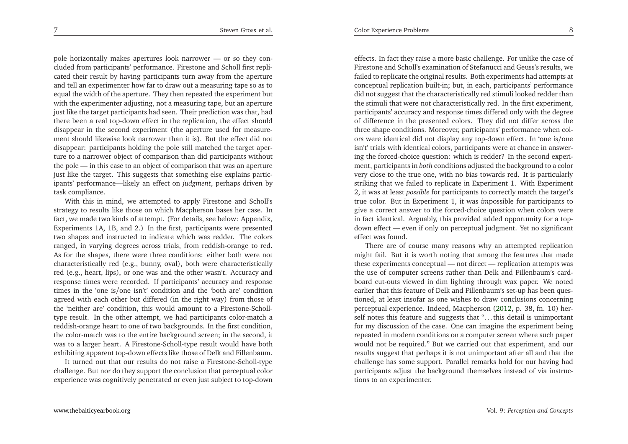pole horizontally makes apertures look narrower — or so they concluded from participants' performance. Firestone and Scholl first replicated their result by having participants turn away from the aperture and tell an experimenter how far to draw out <sup>a</sup> measuring tape so as to equal the width of the aperture. They then repeated the experiment but with the experimenter adjusting, not <sup>a</sup> measuring tape, but an aperture just like the target participants had seen. Their prediction was that, had there been <sup>a</sup> real top-down effect in the replication, the effect should disappear in the second experiment (the aperture used for measurement should likewise look narrower than it is). But the effect did not disappear: participants holding the pole still matched the target aperture to <sup>a</sup> narrower object of comparison than did participants without the pole — in this case to an object of comparison that was an aperture just like the target. This suggests that something else explains participants' performance—likely an effect on *judgment*, perhaps driven by task compliance.

With this in mind, we attempted to apply Firestone and Scholl's strategy to results like those on which Macpherson bases her case. In fact, we made two kinds of attempt. (For details, see below: Appendix, Experiments 1A, 1B, and 2.) In the first, participants were presented two shapes and instructed to indicate which was redder. The colors ranged, in varying degrees across trials, from reddish-orange to red. As for the shapes, there were three conditions: either both were not characteristically red (e.g., bunny, oval), both were characteristically red (e.g., heart, lips), or one was and the other wasn't. Accuracy and response times were recorded. If participants' accuracy and response times in the 'one is/one isn't' condition and the 'both are' condition agreed with each other but differed (in the right way) from those of the 'neither are' condition, this would amount to <sup>a</sup> Firestone-Scholltype result. In the other attempt, we had participants color-match <sup>a</sup> reddish-orange heart to one of two backgrounds. In the first condition, the color-match was to the entire background screen; in the second, it was to <sup>a</sup> larger heart. <sup>A</sup> Firestone-Scholl-type result would have both exhibiting apparen<sup>t</sup> top-down effects like those of Delk and Fillenbaum.

It turned out that our results do not raise <sup>a</sup> Firestone-Scholl-type challenge. But nor do they suppor<sup>t</sup> the conclusion that perceptual colorexperience was cognitively penetrated or even just subject to top-down

effects. In fact they raise <sup>a</sup> more basic challenge. For unlike the case of Firestone and Scholl's examination of Stefanucci and Geuss's results, we failed to replicate the original results. Both experiments had attempts at conceptual replication built-in; but, in each, participants' performance did not sugges<sup>t</sup> that the characteristically red stimuli looked redder than the stimuli that were not characteristically red. In the first experiment, participants' accuracy and response times differed only with the degree of difference in the presented colors. They did not differ across the three shape conditions. Moreover, participants' performance when colors were identical did not display any top-down effect. In 'one is/one isn't' trials with identical colors, participants were at chance in answering the forced-choice question: which is redder? In the second experiment, participants in *both* conditions adjusted the background to <sup>a</sup> color very close to the true one, with no bias towards red. It is particularly striking that we failed to replicate in Experiment 1. With Experiment 2, it was at least *possible* for participants to correctly match the target's true color. But in Experiment 1, it was *im*possible for participants to <sup>g</sup>ive <sup>a</sup> correct answer to the forced-choice question when colors were in fact identical. Arguably, this provided added opportunity for <sup>a</sup> topdown effect — even if only on perceptual judgment. Yet no significanteffect was found.

There are of course many reasons why an attempted replication might fail. But it is worth noting that among the features that made these experiments conceptual — not direct — replication attempts was the use of computer screens rather than Delk and Fillenbaum's cardboard cut-outs viewed in dim lighting through wax paper. We noted earlier that this feature of Delk and Fillenbaum's set-up has been questioned, at least insofar as one wishes to draw conclusions concerning perceptual experience. Indeed, Macpherson [\(2012](#page-16-1), p. 38, fn. 10) herself notes this feature and suggests that "... this detail is unimportant for my discussion of the case. One can imagine the experiment being repeated in modern conditions on <sup>a</sup> computer screen where such paper would not be required." But we carried out that experiment, and our results sugges<sup>t</sup> that perhaps it is not unimportant after all and that the challenge has some support. Parallel remarks hold for our having had participants adjust the background themselves instead of via instructions to an experimenter.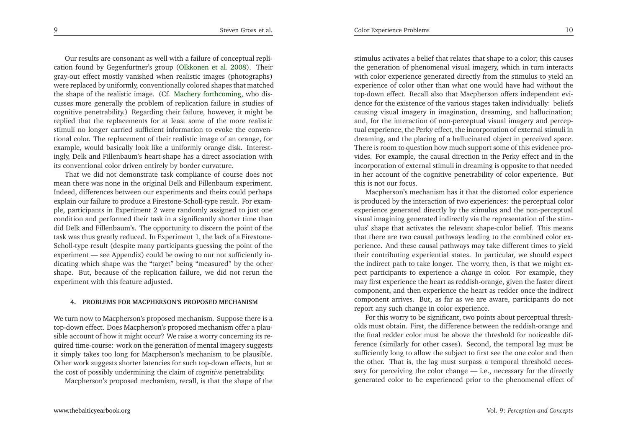Our results are consonant as well with <sup>a</sup> failure of conceptual replication found by Gegenfurtner's group [\(Olkkonen](#page-16-8) et al. [2008](#page-16-8)). Their gray-ou<sup>t</sup> effect mostly vanished when realistic images (photographs) were replaced by uniformly, conventionally colored shapes that matched the shape of the realistic image. (Cf. [Machery](#page-16-6) [forthcoming,](#page-16-6) who discusses more generally the problem of replication failure in studies of cognitive penetrability.) Regarding their failure, however, it might be replied that the replacements for at least some of the more realistic stimuli no longer carried sufficient information to evoke the conventional color. The replacement of their realistic image of an orange, for example, would basically look like <sup>a</sup> uniformly orange disk. Interestingly, Delk and Fillenbaum's heart-shape has <sup>a</sup> direct association withits conventional color driven entirely by border curvature.

That we did not demonstrate task compliance of course does not mean there was none in the original Delk and Fillenbaum experiment. Indeed, differences between our experiments and theirs could perhaps explain our failure to produce <sup>a</sup> Firestone-Scholl-type result. For exam<sup>p</sup>le, participants in Experiment <sup>2</sup> were randomly assigned to just one condition and performed their task in <sup>a</sup> significantly shorter time than did Delk and Fillenbaum's. The opportunity to discern the point of the task was thus greatly reduced. In Experiment 1, the lack of <sup>a</sup> Firestone-Scholl-type result (despite many participants guessing the point of the experiment — see Appendix) could be owing to our not sufficiently indicating which shape was the "target" being "measured" by the other shape. But, because of the replication failure, we did not rerun theexperiment with this feature adjusted.

#### **4. PROBLEMS FOR MACPHERSON'S PROPOSED MECHANISM**

We turn now to Macpherson's proposed mechanism. Suppose there is <sup>a</sup> top-down effect. Does Macpherson's proposed mechanism offer <sup>a</sup> <sup>p</sup>lausible account of how it might occur? We raise <sup>a</sup> worry concerning its required time-course: work on the generation of mental imagery suggests it simply takes too long for Macpherson's mechanism to be <sup>p</sup>lausible. Other work suggests shorter latencies for such top-down effects, but atthe cost of possibly undermining the claim of *cognitive* penetrability.

Macpherson's proposed mechanism, recall, is that the shape of the

stimulus activates <sup>a</sup> belief that relates that shape to <sup>a</sup> color; this causes the generation of <sup>p</sup>henomenal visual imagery, which in turn interacts with color experience generated directly from the stimulus to <sup>y</sup>ield an experience of color other than what one would have had without the top-down effect. Recall also that Macpherson offers independent evidence for the existence of the various stages taken individually: beliefs causing visual imagery in imagination, dreaming, and hallucination; and, for the interaction of non-perceptual visual imagery and perceptual experience, the Perky effect, the incorporation of external stimuli in dreaming, and the <sup>p</sup>lacing of <sup>a</sup> hallucinated object in perceived space. There is room to question how much suppor<sup>t</sup> some of this evidence provides. For example, the causal direction in the Perky effect and in the incorporation of external stimuli in dreaming is opposite to that needed in her account of the cognitive penetrability of color experience. Butthis is not our focus.

Macpherson's mechanism has it that the distorted color experience is produced by the interaction of two experiences: the perceptual color experience generated directly by the stimulus and the non-perceptual visual imagining generated indirectly via the representation of the stimulus' shape that activates the relevant shape-color belief. This means that there are two causal pathways leading to the combined color experience. And these causal pathways may take different times to <sup>y</sup>ield their contributing experiential states. In particular, we should expec<sup>t</sup> the indirect path to take longer. The worry, then, is that we might expec<sup>t</sup> participants to experience <sup>a</sup> *change* in color. For example, they may first experience the heart as reddish-orange, <sup>g</sup>iven the faster direct component, and then experience the heart as redder once the indirect componen<sup>t</sup> arrives. But, as far as we are aware, participants do not repor<sup>t</sup> any such change in color experience.

For this worry to be significant, two points about perceptual thresholds must obtain. First, the difference between the reddish-orange and the final redder color must be above the threshold for noticeable difference (similarly for other cases). Second, the temporal lag must be sufficiently long to allow the subject to first see the one color and then the other. That is, the lag must surpass <sup>a</sup> temporal threshold necessary for perceiving the color change — i.e., necessary for the directlygenerated color to be experienced prior to the <sup>p</sup>henomenal effect of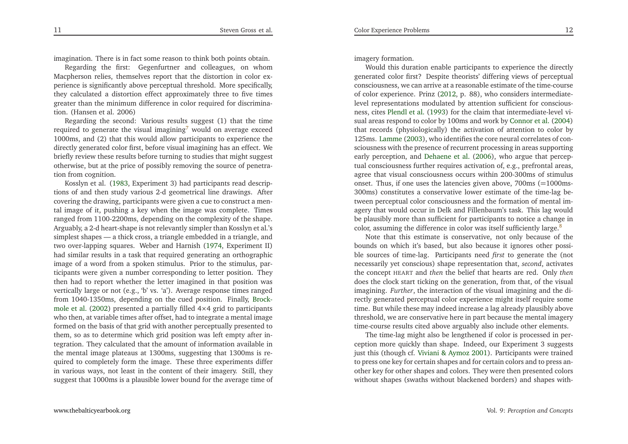imagination. There is in fact some reason to think both points obtain.

Regarding the first: Gegenfurtner and colleagues, on whom Macpherson relies, themselves repor<sup>t</sup> that the distortion in color experience is significantly above perceptual threshold. More specifically, they calculated <sup>a</sup> distortion effect approximately three to five times greater than the minimum difference in color required for discrimination. (Hansen et al. 2006)

 Regarding the second: Various results sugges<sup>t</sup> (1) that the timerequired to generate the visual imagining $^7$  $^7$  would on average exceed 1000ms, and (2) that this would allow participants to experience the directly generated color first, before visual imagining has an effect. We briefly review these results before turning to studies that might sugges<sup>t</sup> otherwise, but at the price of possibly removing the source of penetration from cognition.

Kosslyn et al. [\(1983,](#page-16-21) Experiment 3) had participants read descriptions of and then study various 2-d geometrical line drawings. After covering the drawing, participants were <sup>g</sup>iven <sup>a</sup> cue to construct <sup>a</sup> mental image of it, pushing <sup>a</sup> key when the image was complete. Times ranged from 1100-2200ms, depending on the complexity of the shape. Arguably, <sup>a</sup> 2-d heart-shape is not relevantly simpler than Kosslyn et al.'s simplest shapes — <sup>a</sup> thick cross, <sup>a</sup> triangle embedded in <sup>a</sup> triangle, and two over-lapping squares. Weber and Harnish [\(1974](#page-16-22), Experiment II) had similar results in <sup>a</sup> task that required generating an orthographic image of <sup>a</sup> word from <sup>a</sup> spoken stimulus. Prior to the stimulus, participants were <sup>g</sup>iven <sup>a</sup> number corresponding to letter position. They then had to repor<sup>t</sup> whether the letter imagined in that position was vertically large or not (e.g., 'b' vs. 'a'). Average response times ranged from 1040-1350ms, de[p](#page-15-9)endin[g](#page-15-9) on the cued position. Finally, Brockmole et al. [\(2002\)](#page-15-9) presented <sup>a</sup> partially filled <sup>4</sup>×<sup>4</sup> grid to participants who then, at variable times after offset, had to integrate <sup>a</sup> mental image formed on the basis of that grid with another perceptually presented to them, so as to determine which grid position was left empty after integration. They calculated that the amount of information available in the mental image <sup>p</sup>lateaus at 1300ms, suggesting that 1300ms is required to completely form the image. These three experiments differ in various ways, not least in the content of their imagery. Still, theysugges<sup>t</sup> that 1000ms is <sup>a</sup> <sup>p</sup>lausible lower bound for the average time of

imagery formation.

Would this duration enable participants to experience the directly generated color first? Despite theorists' differing views of perceptual consciousness, we can arrive at <sup>a</sup> reasonable estimate of the time-course of color experience. Prinz [\(2012](#page-16-23), p. 88), who considers intermediatelevel representations modulated by attention sufficient for consciousness, cites [Plendl](#page-16-24) et al. [\(1993](#page-16-24)) for the claim that intermediate-level visual areas respond to color by 100ms and work by [Connor](#page-16-25) et al. [\(2004](#page-16-25)) that records (physiologically) the activation of attention to color by 125ms. [Lamme](#page-16-26) [\(2003](#page-16-26)), who identifies the core neural correlates of consciousness with the presence of recurrent processing in areas supporting early perception, and [Dehaene](#page-16-27) et al. [\(2006\)](#page-16-27), who argue that perceptual consciousness further requires activation of, e.g., prefrontal areas, agree that visual consciousness occurs within 200-300ms of stimulus onset. Thus, if one uses the latencies <sup>g</sup>iven above, 700ms (=1000ms-300ms) constitutes <sup>a</sup> conservative lower estimate of the time-lag between perceptual color consciousness and the formation of mental imagery that would occur in Delk and Fillenbaum's task. This lag would be <sup>p</sup>lausibly more than sufficient for participants to notice <sup>a</sup> change incolor, assuming the difference in color was itself sufficiently large.<sup>[8](#page-15-10)</sup>

<span id="page-7-1"></span><span id="page-7-0"></span>Note that this estimate is conservative, not only because of the bounds on which it's based, but also because it ignores other possible sources of time-lag. Participants need *first* to generate the (not necessarily ye<sup>t</sup> conscious) shape representation that, *second*, activates the concep<sup>t</sup> HEART and *then* the belief that hearts are red. Only *then* does the clock start ticking on the generation, from that, of the visual imagining. *Further*, the interaction of the visual imagining and the directly generated perceptual color experience might itself require some time. But while these may indeed increase <sup>a</sup> lag already <sup>p</sup>lausibly above threshold, we are conservative here in par<sup>t</sup> because the mental imagerytime-course results cited above arguably also include other elements.

The time-lag might also be lengthened if color is processed in perception more quickly than shape. Indeed, our Experiment <sup>3</sup> suggests just this (though cf. Viviani & [Aymoz](#page-16-28) [2001](#page-16-28)). Participants were trained to press one key for certain shapes and for certain colors and to press another key for other shapes and colors. They were then presented colorswithout shapes (swaths without blackened borders) and shapes with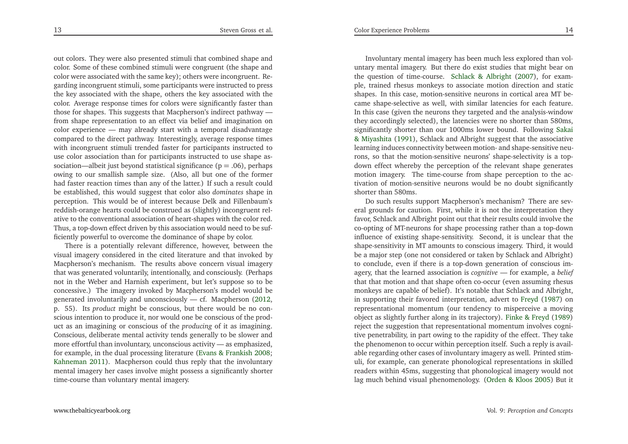out colors. They were also presented stimuli that combined shape and color. Some of these combined stimuli were congruen<sup>t</sup> (the shape and color were associated with the same key); others were incongruent. Regarding incongruent stimuli, some participants were instructed to press the key associated with the shape, others the key associated with the color. Average response times for colors were significantly faster than those for shapes. This suggests that Macpherson's indirect pathway from shape representation to an effect via belief and imagination on color experience — may already start with <sup>a</sup> temporal disadvantage compared to the direct pathway. Interestingly, average response times with incongruent stimuli trended faster for participants instructed to use color association than for participants instructed to use shape association—albeit just beyond statistical significance  $(p = .06)$ , perhaps owing to our smallish sample size. (Also, all but one of the former had faster reaction times than any of the latter.) If such <sup>a</sup> result could be established, this would sugges<sup>t</sup> that color also *dominates* shape in perception. This would be of interest because Delk and Fillenbaum's reddish-orange hearts could be construed as (slightly) incongruent relative to the conventional association of heart-shapes with the color red. Thus, <sup>a</sup> top-down effect driven by this association would need to be sufficiently powerful to overcome the dominance of shape by color.

There is <sup>a</sup> potentially relevant difference, however, between the visual imagery considered in the cited literature and that invoked by Macpherson's mechanism. The results above concern visual imagery that was generated voluntarily, intentionally, and consciously. (Perhaps not in the Weber and Harnish experiment, but let's suppose so to be concessive.) The imagery invoked by Macpherson's model would be generated involuntarily and unconsciously — cf. Macpherson [\(2012](#page-16-1), p. 55). Its *product* might be conscious, but there would be no conscious intention to produce it, nor would one be conscious of the product as an imagining or conscious of the *producing* of it as imagining. Conscious, deliberate mental activity tends generally to be slower and more effortful than involuntary, unconscious activity — as emphasized, for example, in the dual processing literature (Evans & [Frankish](#page-16-29) [2008](#page-16-29); [Kahneman](#page-16-30) [2011](#page-16-30)). Macpherson could thus reply that the involuntary mental imagery her cases involve might possess <sup>a</sup> significantly shortertime-course than voluntary mental imagery.

Involuntary mental imagery has been much less explored than voluntary mental imagery. But there do exist studies that might bear on the question of time-course. Schlack & [Albright](#page-16-31) [\(2007](#page-16-31)), for exam<sup>p</sup>le, trained rhesus monkeys to associate motion direction and static shapes. In this case, motion-sensitive neurons in cortical area MT became shape-selective as well, with similar latencies for each feature. In this case (given the neurons they targeted and the analysis-window they accordingly selected), the latencies were no shorter than 580ms, significantly shorter than our 1000ms lower bound. Followin[g](#page-16-32) Sakai & Miyashita [\(1991](#page-16-32)), Schlack and Albright sugges<sup>t</sup> that the associative learning induces connectivity between motion- and shape-sensitive neurons, so that the motion-sensitive neurons' shape-selectivity is <sup>a</sup> topdown effect whereby the perception of the relevant shape generates motion imagery. The time-course from shape perception to the activation of motion-sensitive neurons would be no doubt significantlyshorter than 580ms.

Do such results suppor<sup>t</sup> Macpherson's mechanism? There are several grounds for caution. First, while it is not the interpretation they favor, Schlack and Albright point out that their results could involve the co-opting of MT-neurons for shape processing rather than <sup>a</sup> top-down influence of existing shape-sensitivity. Second, it is unclear that the shape-sensitivity in MT amounts to conscious imagery. Third, it would be <sup>a</sup> major step (one not considered or taken by Schlack and Albright) to conclude, even if there is <sup>a</sup> top-down generation of conscious imagery, that the learned association is *cognitive* — for example, <sup>a</sup> *belief* that that motion and that shape often co-occur (even assuming rhesus monkeys are capable of belief). It's notable that Schlack and Albright, in supporting their favored interpretation, advert to [Freyd](#page-16-33) [\(1987](#page-16-33)) on representational momentum (our tendency to misperceive <sup>a</sup> moving object as slightly further along in its trajectory). Finke & [Freyd](#page-16-34) [\(1989](#page-16-34)) reject the suggestion that representational momentum involves cognitive penetrability, in par<sup>t</sup> owing to the rapidity of the effect. They take the <sup>p</sup>henomenon to occur within perception itself. Such <sup>a</sup> reply is available regarding other cases of involuntary imagery as well. Printed stimuli, for example, can generate <sup>p</sup>honological representations in skilled readers within 45ms, suggesting that <sup>p</sup>honological imagery would not lag much behind visual <sup>p</sup>henomenology. [\(Orden](#page-16-35) & Kloos [2005](#page-16-35)) But it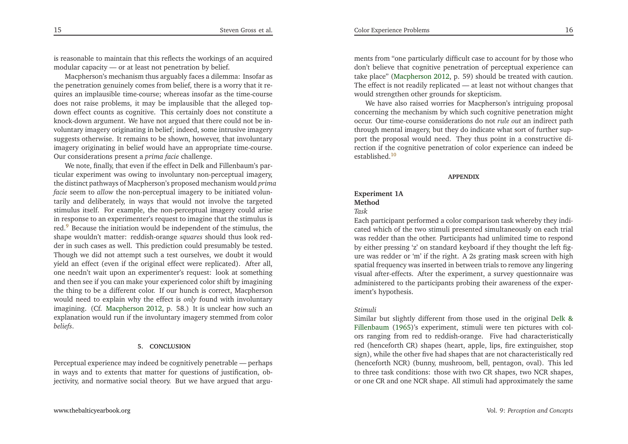is reasonable to maintain that this reflects the workings of an acquiredmodular capacity — or at least not penetration by belief.

Macpherson's mechanism thus arguably faces <sup>a</sup> dilemma: Insofar as the penetration genuinely comes from belief, there is <sup>a</sup> worry that it requires an implausible time-course; whereas insofar as the time-course does not raise problems, it may be implausible that the alleged topdown effect counts as cognitive. This certainly does not constitute <sup>a</sup> knock-down argument. We have not argued that there could not be involuntary imagery originating in belief; indeed, some intrusive imagery suggests otherwise. It remains to be shown, however, that involuntary imagery originating in belief would have an appropriate time-course. Our considerations presen<sup>t</sup> <sup>a</sup> *prima facie* challenge.

We note, finally, that even if the effect in Delk and Fillenbaum's particular experiment was owing to involuntary non-perceptual imagery, the distinct pathways of Macpherson's proposed mechanism would *prima facie* seem to *allow* the non-perceptual imagery to be initiated voluntarily and deliberately, in ways that would not involve the targeted stimulus itself. For example, the non-perceptual imagery could arise in response to an experimenter's reques<sup>t</sup> to imagine that the stimulus is red.[9](#page-15-11) Because the initiation would be independent of the stimulus, the shape wouldn't matter: reddish-orange *squares* should thus look redder in such cases as well. This prediction could presumably be tested. Though we did not attempt such <sup>a</sup> test ourselves, we doubt it would <sup>y</sup>ield an effect (even if the original effect were replicated). After all, one needn't wait upon an experimenter's request: look at something and then see if you can make your experienced color shift by imagining the thing to be <sup>a</sup> different color. If our hunch is correct, Macpherson would need to explain why the effect is *only* found with involuntary imagining. (Cf. [Macpherson](#page-16-1) [2012](#page-16-1), p. 58.) It is unclear how such an explanation would run if the involuntary imagery stemmed from color*beliefs*.

#### **5. CONCLUSION**

Perceptual experience may indeed be cognitively penetrable — perhaps in ways and to extents that matter for questions of justification, objectivity, and normative social theory. But we have argued that argu-

<span id="page-9-1"></span><span id="page-9-0"></span>ments from "one particularly difficult case to account for by those who don't believe that cognitive penetration of perceptual experience can take <sup>p</sup>lace" [\(Macpherson](#page-16-1) [2012](#page-16-1), p. 59) should be treated with caution. The effect is not readily replicated — at least not without changes thatwould strengthen other grounds for skepticism.

We have also raised worries for Macpherson's intriguing proposalconcerning the mechanism by which such cognitive penetration might occur. Our time-course considerations do not *rule out* an indirect path through mental imagery, but they do indicate what sort of further suppor<sup>t</sup> the proposal would need. They thus point in <sup>a</sup> constructive direction if the cognitive penetration of color experience can indeed beestablished.[10](#page-15-12)

#### **APPENDIX**

## **Experiment 1AMethod**

## *Task*

 Each participant performed <sup>a</sup> color comparison task whereby they indicated which of the two stimuli presented simultaneously on each trial was redder than the other. Participants had unlimited time to respond by either pressing 'z' on standard keyboard if they thought the left figure was redder or 'm' if the right. <sup>A</sup> 2s grating mask screen with high spatial frequency was inserted in between trials to remove any lingering visual after-effects. After the experiment, <sup>a</sup> survey questionnaire was administered to the participants probing their awareness of the experiment's hypothesis.

#### *Stimuli*

 Similar but slightly different from those used in the ori[g](#page-16-2)inal Delk & Fillenbaum [\(1965](#page-16-2))'s experiment, stimuli were ten <sup>p</sup>ictures with colors ranging from red to reddish-orange. Five had characteristically red (henceforth CR) shapes (heart, apple, lips, fire extinguisher, stop sign), while the other five had shapes that are not characteristically red (henceforth NCR) (bunny, mushroom, bell, pentagon, oval). This led to three task conditions: those with two CR shapes, two NCR shapes, or one CR and one NCR shape. All stimuli had approximately the same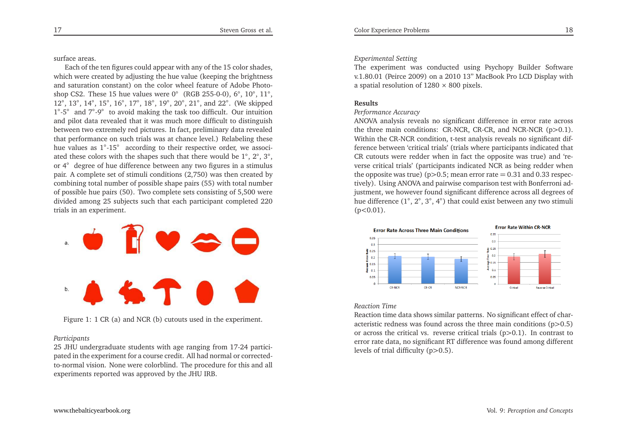surface areas.

Each of the ten figures could appear with any of the <sup>15</sup> color shades, which were created by adjusting the hue value (keeping the brightness and saturation constant) on the color wheel feature of Adobe Photoshop CS2. These 15 hue values were  $0°$  (RGB 255-0-0),  $6°$ ,  $10°$ ,  $11°$ , 12°, 13°, 14°, 15°, 16°, 17°, 18°, 19°, 20°, 21°, and 22°. (We skipped <sup>1</sup>◦-5◦ and <sup>7</sup>◦-9◦ to avoid making the task too difficult. Our intuition and <sup>p</sup>ilot data revealed that it was much more difficult to distinguish between two extremely red <sup>p</sup>ictures. In fact, preliminary data revealed that performance on such trials was at chance level.) Relabeling these hue values as <sup>1</sup>◦-15◦ according to their respective order, we associated these colors with the shapes such that there would be <sup>1</sup>◦, <sup>2</sup>◦, <sup>3</sup>◦, or <sup>4</sup>◦ degree of hue difference between any two figures in <sup>a</sup> stimulus pair. <sup>A</sup> complete set of stimuli conditions (2,750) was then created by combining total number of possible shape pairs (55) with total number of possible hue pairs (50). Two complete sets consisting of 5,500 were divided among <sup>25</sup> subjects such that each participant completed <sup>220</sup>trials in an experiment.



Figure 1: <sup>1</sup> CR (a) and NCR (b) cutouts used in the experiment.

## *Participants*

 <sup>25</sup> JHU undergraduate students with age ranging from 17-24 participated in the experiment for <sup>a</sup> course credit. All had normal or correctedto-normal vision. None were colorblind. The procedure for this and allexperiments reported was approved by the JHU IRB.

## *Experimental Setting*

 The experiment was conducted using Psychopy Builder Software v.1.80.01 (Peirce 2009) on <sup>a</sup> <sup>2010</sup> 13" MacBook Pro LCD Display witha spatial resolution of  $1280 \times 800$  pixels.

#### **Results**

## *Performance Accuracy*

 ANOVA analysis reveals no significant difference in error rate across the three main conditions: CR-NCR, CR-CR, and NCR-NCR (p*>*0.1). Within the CR-NCR condition, t-test analysis reveals no significant difference between 'critical trials' (trials where participants indicated that CR cutouts were redder when in fact the opposite was true) and 'reverse critical trials' (participants indicated NCR as being redder when the opposite was true) (p*>*0.5; mean error rate <sup>=</sup> 0.31 and 0.33 respectively). Using ANOVA and pairwise comparison test with Bonferroni adjustment, we however found significant difference across all degrees ofhue difference (1°, 2°, 3°, 4°) that could exist between any two stimuli (p*<*0.01).



## *Reaction Time*

 Reaction time data shows similar patterns. No significant effect of characteristic redness was found across the three main conditions (p*>*0.5) or across the critical vs. reverse critical trials (p*>*0.1). In contrast to error rate data, no significant RT difference was found among different levels of trial difficulty (p*>*0.5).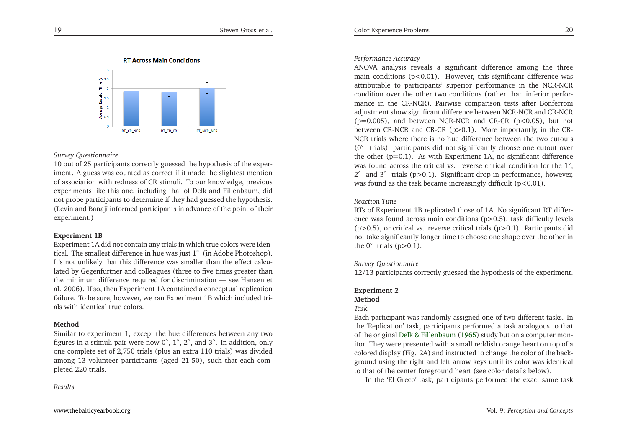

#### *Survey Questionnaire*

 <sup>10</sup> out of <sup>25</sup> participants correctly guessed the hypothesis of the experiment. <sup>A</sup> guess was counted as correct if it made the slightest mention of association with redness of CR stimuli. To our knowledge, previous experiments like this one, including that of Delk and Fillenbaum, did not probe participants to determine if they had guessed the hypothesis. (Levin and Banaji informed participants in advance of the point of theirexperiment.)

## **Experiment 1B**

 Experiment 1A did not contain any trials in which true colors were identical. The smallest difference in hue was just <sup>1</sup>◦ (in Adobe Photoshop). It's not unlikely that this difference was smaller than the effect calculated by Gegenfurtner and colleagues (three to five times greater than the minimum difference required for discrimination — see Hansen et al. 2006). If so, then Experiment 1A contained <sup>a</sup> conceptual replication failure. To be sure, however, we ran Experiment 1B which included trials with identical true colors.

### **Method**

 Similar to experiment 1, excep<sup>t</sup> the hue differences between any two figures in a stimuli pair were now  $0^\circ$ ,  $1^\circ$ ,  $2^\circ$ , and  $3^\circ$ . In addition, only one complete set of 2,750 trials (plus an extra <sup>110</sup> trials) was divided among <sup>13</sup> volunteer participants (aged 21-50), such that each com<sup>p</sup>leted <sup>220</sup> trials.

*Results*

## *Performance Accuracy*

 ANOVA analysis reveals <sup>a</sup> significant difference among the three main conditions (p*<*0.01). However, this significant difference was attributable to participants' superior performance in the NCR-NCR condition over the other two conditions (rather than inferior performance in the CR-NCR). Pairwise comparison tests after Bonferroniadjustment show significant difference between NCR-NCR and CR-NCR (p=0.005), and between NCR-NCR and CR-CR (p*<*0.05), but not between CR-NCR and CR-CR (p*>*0.1). More importantly, in the CR-NCR trials where there is no hue difference between the two cutouts (0◦ trials), participants did not significantly choose one cutout over the other (p=0.1). As with Experiment 1A, no significant difference was found across the critical vs. reverse critical condition for the <sup>1</sup>◦, <sup>2</sup>◦ and <sup>3</sup>◦ trials (p*>*0.1). Significant drop in performance, however, was found as the task became increasingly difficult (p*<*0.01).

## *Reaction Time*

 RTs of Experiment 1B replicated those of 1A. No significant RT difference was found across main conditions (p*>*0.5), task difficulty levels (p*>*0.5), or critical vs. reverse critical trials (p*>*0.1). Participants did not take significantly longer time to choose one shape over the other inthe <sup>0</sup>◦ trials (p*>*0.1).

## *Survey Questionnaire*

<sup>12</sup>/<sup>13</sup> participants correctly guessed the hypothesis of the experiment.

## **Experiment <sup>2</sup>**

## **Method**

## *Task*

 Each participant was randomly assigned one of two different tasks. In the 'Replication' task, participants performed <sup>a</sup> task analogous to thatof the original Delk & [Fillenbaum](#page-16-2) [\(1965\)](#page-16-2) study but on a computer mon-<br>item They were greented with a small uddish suppose has the patent of a itor. They were presented with <sup>a</sup> small reddish orange heart on top of <sup>a</sup> colored display (Fig. 2A) and instructed to change the color of the background using the right and left arrow keys until its color was identical to that of the center foreground heart (see color details below).

In the 'El Greco' task, participants performed the exact same task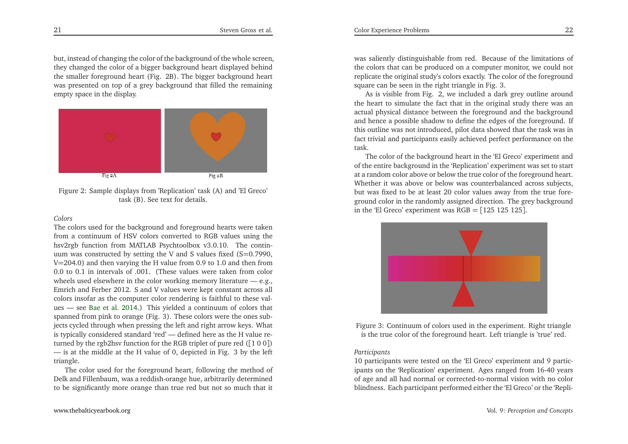but, instead of changing the color of the background of the whole screen, they changed the color of <sup>a</sup> bigger background heart displayed behind the smaller foreground heart (Fig. 2B). The bigger background heart was presented on top of <sup>a</sup> grey background that filled the remainingempty space in the display.



Figure 2: Sample displays from 'Replication' task (A) and 'El Greco' task (B). See text for details.

## *Colors*

 The colors used for the background and foreground hearts were taken from <sup>a</sup> continuum of HSV colors converted to RGB values using the hsv2rgb function from MATLAB Psychtoolbox v3.0.10. The continuum was constructed by setting the V and S values fixed  $(S=0.7990,$ <sup>V</sup>=204.0) and then varying the <sup>H</sup> value from 0.9 to 1.0 and then from0.0 to 0.1 in intervals of .001. (These values were taken from color 0.1 in intervals of .001. (These values were taken from color wheels used elsewhere in the color working memory literature — e.g., Emrich and Ferber 2012. <sup>S</sup> and <sup>V</sup> values were kept constant across all colors insofar as the computer color rendering is faithful to these values — see [Bae](#page-15-13) et al. [2014](#page-15-13).) This <sup>y</sup>ielded <sup>a</sup> continuum of colors that spanned from <sup>p</sup>ink to orange (Fig. 3). These colors were the ones subjects cycled through when pressing the left and right arrow keys. What is typically considered standard 'red' — defined here as the <sup>H</sup> value returned by the rgb2hsv function for the RGB triplet of pure red ([<sup>1</sup> <sup>0</sup> <sup>0</sup>]) — is at the middle at the <sup>H</sup> value of 0, depicted in Fig. <sup>3</sup> by the lefttriangle.

 The color used for the foreground heart, following the method of Delk and Fillenbaum, was <sup>a</sup> reddish-orange hue, arbitrarily determinedto be significantly more orange than true red but not so much that it

was saliently distinguishable from red. Because of the limitations of the colors that can be produced on <sup>a</sup> computer monitor, we could not replicate the original study's colors exactly. The color of the foregroundsquare can be seen in the right triangle in Fig. 3.

As is visible from Fig. 2, we included <sup>a</sup> dark grey outline around the heart to simulate the fact that in the original study there was an actual <sup>p</sup>hysical distance between the foreground and the background and hence <sup>a</sup> possible shadow to define the edges of the foreground. If this outline was not introduced, <sup>p</sup>ilot data showed that the task was in fact trivial and participants easily achieved perfect performance on thetask.

 The color of the background heart in the 'El Greco' experiment and of the entire background in the 'Replication' experiment was set to start at <sup>a</sup> random color above or below the true color of the foreground heart. Whether it was above or below was counterbalanced across subjects, but was fixed to be at least <sup>20</sup> color values away from the true foreground color in the randomly assigned direction. The grey backgroundin the 'El Greco' experiment was  $RGB = [125\ 125\ 125]$ .



Figure 3: Continuum of colors used in the experiment. Right triangleis the true color of the foreground heart. Left triangle is 'true' red.

## *Participants*

 <sup>10</sup> participants were tested on the 'El Greco' experiment and <sup>9</sup> participants on the 'Replication' experiment. Ages ranged from 16-40 years of age and all had normal or corrected-to-normal vision with no color blindness. Each participant performed either the 'El Greco' or the 'Repli-

[www.thebalticyearbook.org](http://www.thebalticyearbook.org/)

21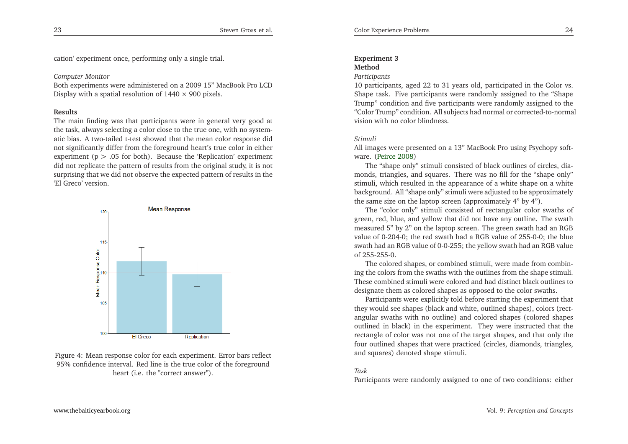cation' experiment once, performing only <sup>a</sup> single trial.

## *Computer Monitor*

 Both experiments were administered on <sup>a</sup> 2009 15" MacBook Pro LCDDisplay with a spatial resolution of  $1440 \times 900$  pixels.

## **Results**

 The main finding was that participants were in general very good at the task, always selecting <sup>a</sup> color close to the true one, with no systematic bias. <sup>A</sup> two-tailed t-test showed that the mean color response did not significantly differ from the foreground heart's true color in either experiment (p *<sup>&</sup>gt;* .05 for both). Because the 'Replication' experiment did not replicate the pattern of results from the original study, it is not surprising that we did not observe the expected pattern of results in the'El Greco' version.



Figure 4: Mean response color for each experiment. Error bars reflect 95% confidence interval. Red line is the true color of the foregroundheart (i.e. the "correct answer").

## **Experiment <sup>3</sup>**

## **Method**

#### *Participants*

 <sup>10</sup> participants, aged <sup>22</sup> to <sup>31</sup> years old, participated in the Color vs. Shape task. Five participants were randomly assigned to the "Shape Trump" condition and five participants were randomly assigned to the "Color Trump" condition. All subjects had normal or corrected-to-normalvision with no color blindness.

## *Stimuli*

All images were presented on <sup>a</sup> 13" MacBook Pro using Psychopy software. [\(Peirce](#page-16-36) [2008](#page-16-36))

 The "shape only" stimuli consisted of black outlines of circles, diamonds, triangles, and squares. There was no fill for the "shape only" stimuli, which resulted in the appearance of <sup>a</sup> white shape on <sup>a</sup> white background. All "shape only" stimuli were adjusted to be approximatelythe same size on the laptop screen (approximately 4" by 4").

The "color only" stimuli consisted of rectangular color swaths of green, red, blue, and yellow that did not have any outline. The swath measured 5" by 2" on the laptop screen. The green swath had an RGB value of 0-204-0; the red swath had <sup>a</sup> RGB value of 255-0-0; the blue swath had an RGB value of 0-0-255; the yellow swath had an RGB valueof 255-255-0.

The colored shapes, or combined stimuli, were made from combining the colors from the swaths with the outlines from the shape stimuli. These combined stimuli were colored and had distinct black outlines todesignate them as colored shapes as opposed to the color swaths.

Participants were explicitly told before starting the experiment that they would see shapes (black and white, outlined shapes), colors (rectangular swaths with no outline) and colored shapes (colored shapes outlined in black) in the experiment. They were instructed that the rectangle of color was not one of the target shapes, and that only the four outlined shapes that were practiced (circles, diamonds, triangles, and squares) denoted shape stimuli.

## *Task*

Participants were randomly assigned to one of two conditions: either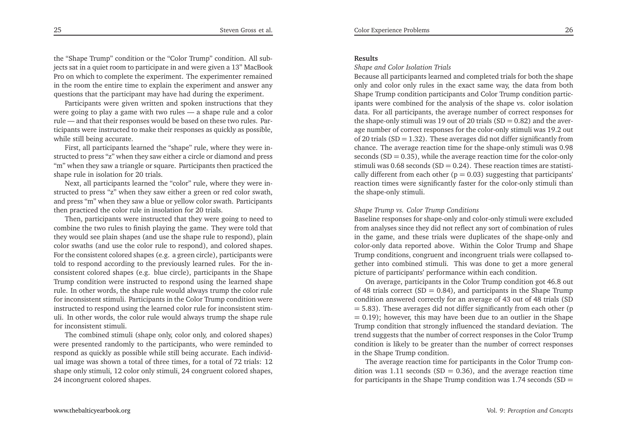the "Shape Trump" condition or the "Color Trump" condition. All subjects sat in <sup>a</sup> quiet room to participate in and were <sup>g</sup>iven <sup>a</sup> 13" MacBook Pro on which to complete the experiment. The experimenter remained in the room the entire time to explain the experiment and answer anyquestions that the participant may have had during the experiment.

Participants were <sup>g</sup>iven written and spoken instructions that they were going to <sup>p</sup>lay <sup>a</sup> game with two rules — <sup>a</sup> shape rule and <sup>a</sup> color rule — and that their responses would be based on these two rules. Participants were instructed to make their responses as quickly as possible, while still being accurate.

First, all participants learned the "shape" rule, where they were instructed to press "z" when they saw either <sup>a</sup> circle or diamond and press "m" when they saw <sup>a</sup> triangle or square. Participants then practiced theshape rule in isolation for <sup>20</sup> trials.

Next, all participants learned the "color" rule, where they were instructed to press "z" when they saw either <sup>a</sup> green or red color swath, and press "m" when they saw <sup>a</sup> blue or yellow color swath. Participantsthen practiced the color rule in insolation for <sup>20</sup> trials.

Then, participants were instructed that they were going to need to combine the two rules to finish <sup>p</sup>laying the game. They were told that they would see <sup>p</sup>lain shapes (and use the shape rule to respond), <sup>p</sup>lain color swaths (and use the color rule to respond), and colored shapes. For the consistent colored shapes (e.g. <sup>a</sup> green circle), participants were told to respond according to the previously learned rules. For the inconsistent colored shapes (e.g. blue circle), participants in the Shape Trump condition were instructed to respond using the learned shape rule. In other words, the shape rule would always trump the color rule for inconsistent stimuli. Participants in the Color Trump condition were instructed to respond using the learned color rule for inconsistent stimuli. In other words, the color rule would always trump the shape rulefor inconsistent stimuli.

The combined stimuli (shape only, color only, and colored shapes) were presented randomly to the participants, who were reminded to respond as quickly as possible while still being accurate. Each individual image was shown <sup>a</sup> total of three times, for <sup>a</sup> total of 72 trials: <sup>12</sup> shape only stimuli, <sup>12</sup> color only stimuli, 24 congruen<sup>t</sup> colored shapes, 24 incongruent colored shapes.

#### **Results**

*Shape and Color Isolation Trials*

 Because all participants learned and completed trials for both the shape only and color only rules in the exact same way, the data from both Shape Trump condition participants and Color Trump condition participants were combined for the analysis of the shape vs. color isolation data. For all participants, the average number of correct responses forthe shape-only stimuli was 19 out of 20 trials  $(SD = 0.82)$  and the aver-<br> $\sim$ age number of correct responses for the color-only stimuli was 19.2 outof 20 trials  $(SD = 1.32)$ . These averages did not differ significantly from chance. The average reaction time for the shape-only stimuli was 0.98seconds (SD = 0.35), while the average reaction time for the color-only stimuli was  $0.68$  seconds (SD = 0.24). These reaction times are statisti-<br>stable different from sock that  $(x, 0.93)$  measuring that nonlinear times cally different from each other  $(p = 0.03)$  suggesting that participants'<br>weather that we cannot in its participants for the participants' then reaction times were significantly faster for the color-only stimuli thanthe shape-only stimuli.

## *Shape Trump vs. Color Trump Conditions*

 Baseline responses for shape-only and color-only stimuli were excluded from analyses since they did not reflect any sort of combination of rules in the game, and these trials were duplicates of the shape-only and color-only data reported above. Within the Color Trump and Shape Trump conditions, congruen<sup>t</sup> and incongruent trials were collapsed together into combined stimuli. This was done to ge<sup>t</sup> <sup>a</sup> more general<sup>p</sup>icture of participants' performance within each condition.

On average, participants in the Color Trump condition go<sup>t</sup> 46.8 outof 48 trials correct (SD = 0.84), and participants in the Shape Trump condition answered correctly for an average of 43 out of 48 trials (SD $=$  5.83). These averages did not differ significantly from each other (p  $= 0.19$ ; however, this may have been due to an outlier in the Shape Trump condition that strongly influenced the standard deviation. The trend suggests that the number of correct responses in the Color Trump condition is likely to be greater than the number of correct responsesin the Shape Trump condition.

The average reaction time for participants in the Color Trump condition was 1.11 seconds (SD = 0.36), and the average reaction time<br>for participants in the Chana Trump are dition area 1.74 seconds (SD for participants in the Shape Trump condition was  $1.74$  seconds  $\text{(SD =}$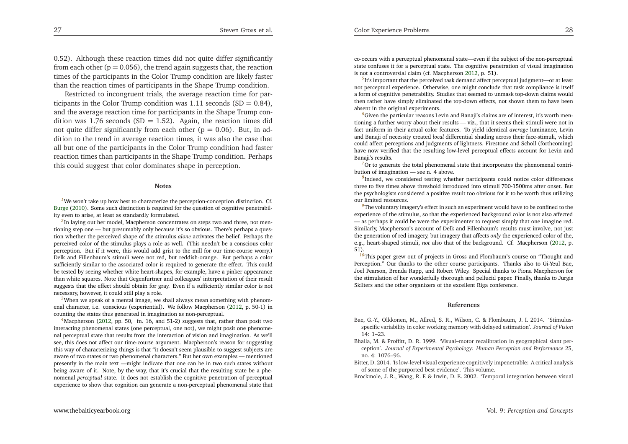<span id="page-15-13"></span><span id="page-15-12"></span><span id="page-15-9"></span><span id="page-15-6"></span><span id="page-15-4"></span><span id="page-15-1"></span>0.52). Although these reaction times did not quite differ significantlyfrom each other ( $p = 0.056$ ), the trend again suggests that, the reaction times of the participants in the Color Trump condition are likely fasterthan the reaction times of participants in the Shape Trump condition.

Restricted to incongruent trials, the average reaction time for participants in the Color Trump condition was  $1.11$  seconds (SD = 0.84), and the average reaction time for participants in the Shape Trump condition was 1.76 seconds  $(SD = 1.52)$ . Again, the reaction times did not quite differ significantly from each other  $(p = 0.06)$ . But, in ad-<br>differential in a connection times it was also the secondary dition to the trend in average reaction times, it was also the case that all but one of the participants in the Color Trump condition had faster reaction times than participants in the Shape Trump condition. Perhapsthis could sugges<sup>t</sup> that color dominates shape in perception.

#### <span id="page-15-11"></span><span id="page-15-2"></span>**Notes**

<sup>[1](#page-3-0)</sup>We won't take up how best to characterize the perception-conception distinction. Cf. [Burge](#page-16-37) [\(2010\)](#page-16-37). Some such distinction is required for the question of cognitive penetrability even to arise, at least as standardly formulated.

*[2](#page-3-1)*In laying out her model, Macpherson concentrates on steps two and three, not mentioning step one — but presumably only because it's so obvious. There's perhaps <sup>a</sup> question whether the perceived shape of the stimulus *alone* activates the belief. Perhaps the perceived color of the stimulus <sup>p</sup>lays <sup>a</sup> role as well. (This needn't be <sup>a</sup> conscious color perception. But if it were, this would add grist to the mill for our time-course worry.) Delk and Fillenbaum's stimuli were not red, but reddish-orange. But perhaps <sup>a</sup> color sufficiently similar to the associated color is required to generate the effect. This could be tested by seeing whether white heart-shapes, for example, have <sup>a</sup> <sup>p</sup>inker appearance than white squares. Note that Gegenfurtner and colleagues' interpretation of their result suggests that the effect should obtain for gray. Even if <sup>a</sup> sufficiently similar color is notnecessary, however, it could still <sup>p</sup>lay <sup>a</sup> role.

*[3](#page-3-2)*When we spea<sup>k</sup> of <sup>a</sup> mental image, we shall always mean something with <sup>p</sup>henomenal character, i.e. conscious (experiential). We follow Macpherson [\(2012](#page-16-1), p. 50-1) incounting the states thus generated in imagination as non-perceptual.

*[4](#page-3-3)*Macpherson [\(2012](#page-16-1), pp. 50, fn. 16, and 51-2) suggests that, rather than posit two interacting <sup>p</sup>henomenal states (one perceptual, one not), we might posit one <sup>p</sup>henomenal perceptual state that results from the interaction of vision and imagination. As we'll see, this does not affect our time-course argument. Macpherson's reason for suggesting this way of characterizing things is that "it doesn't seem <sup>p</sup>lausible to sugges<sup>t</sup> subjects are aware of two states or two <sup>p</sup>henomenal characters." But her own examples — mentioned presently in the main text —might indicate that one can be in two such states without being aware of it. Note, by the way, that it's crucial that the resulting state be <sup>a</sup> <sup>p</sup>henomenal *perceptual* state. It does not establish the cognitive penetration of perceptual experience to show that cognition can generate <sup>a</sup> non-perceptual <sup>p</sup>henomenal state that <span id="page-15-10"></span><span id="page-15-8"></span><span id="page-15-7"></span><span id="page-15-5"></span>co-occurs with <sup>a</sup> perceptual <sup>p</sup>henomenal state—even if the subject of the non-perceptual state confuses it for <sup>a</sup> perceptual state. The cognitive penetration of visual imaginationis not <sup>a</sup> controversial claim (cf. Macpherson [2012](#page-16-1), p. 51).

Color Experience Problems

<span id="page-15-0"></span><sup>[5](#page-4-0)</sup>It's important that the perceived task demand affect perceptual judgment—or at least not perceptual experience. Otherwise, one might conclude that task compliance is itself <sup>a</sup> form of cognitive penetrability. Studies that seemed to unmask top-down claims would then rather have simply eliminated the top-down effects, not shown them to have beenabsent in the original experiments.

*[6](#page-4-1)*Given the particular reasons Levin and Banaji's claims are of interest, it's worth mentioning <sup>a</sup> further worry about their results — viz., that it seems their stimuli were not in fact uniform in their actual color features. To <sup>y</sup>ield identical *average* luminance, Levin and Banaji of necessity created *local* differential shading across their face-stimuli, which could affect perceptions and judgments of lightness. Firestone and Scholl (forthcoming) have now verified that the resulting low-level perceptual effects account for Levin andBanaji's results.

<span id="page-15-3"></span>*[7](#page-7-0)*Or to generate the total <sup>p</sup>henomenal state that incorporates the <sup>p</sup>henomenal contribution of imagination — see n. <sup>4</sup> above.

*[8](#page-7-1)*Indeed, we considered testing whether participants could notice color differences three to five times above threshold introduced into stimuli 700-1500ms after onset. But the psychologists considered <sup>a</sup> positive result too obvious for it to be worth thus utilizingour limited resources.

*[9](#page-9-0)*The voluntary imagery's effect in such an experiment would have to be confined to the experience of the stimulus, so that the experienced background color is not also affected — as perhaps it could be were the experimenter to reques<sup>t</sup> simply that one imagine red. Similarly, Macpherson's account of Delk and Fillenbaum's results must involve, not just the generation of red imagery, but imagery that affects *only* the experienced color of the, e.g., heart-shaped stimuli, *not* also that of the background. Cf. Macpherson [\(2012](#page-16-1), p. 51).

 *[10](#page-9-1)*This paper grew out of projects in Gross and Flombaum's course on "Thought and Perception." Our thanks to the other course participants. Thanks also to Gi-Yeul Bae, Joel Pearson, Brenda Rapp, and Robert Wiley. Special thanks to Fiona Macpherson for the stimulation of her wonderfully thorough and pellucid paper. Finally, thanks to JurgisSkilters and the other organizers of the excellent Riga conference.

#### **References**

- Bae, G.-Y., Olkkonen, M., Allred, S. R., Wilson, C. & Flombaum, J. I. 2014. 'Stimulusspecific variability in color working memory with delayed estimation'. *Journal of Vision*14: 1–23.
- Bhalla, M. & Proffitt, D. R. 1999. 'Visual–motor recalibration in geographical slant perception'. *Journal of Experimental Psychology: Human Perception and Performance* 25, no. 4: 1076–96.
- Bitter, D. 2014. 'Is low-level visual experience cognitively impenetrable: <sup>A</sup> critical analysisof some of the purported best evidence'. This volume.

Brockmole, J. R., Wang, R. F. & Irwin, D. E. 2002. 'Temporal integration between visual